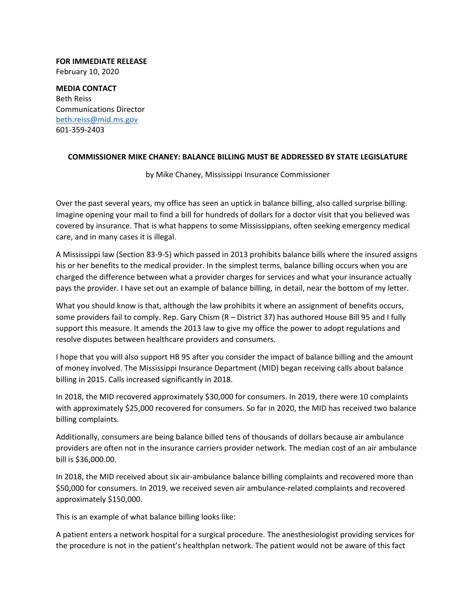## **FOR IMMEDIATE RELEASE** February 10, 2020

**MEDIA CONTACT** Beth Reiss Communications Director beth.reiss@mid.ms.gov 601‐359‐2403

## **COMMISSIONER MIKE CHANEY: BALANCE BILLING MUST BE ADDRESSED BY STATE LEGISLATURE**

by Mike Chaney, Mississippi Insurance Commissioner

Over the past several years, my office has seen an uptick in balance billing, also called surprise billing. Imagine opening your mail to find a bill for hundreds of dollars for a doctor visit that you believed was covered by insurance. That is what happens to some Mississippians, often seeking emergency medical care, and in many cases it is illegal.

A Mississippi law (Section 83‐9‐5) which passed in 2013 prohibits balance bills where the insured assigns his or her benefits to the medical provider. In the simplest terms, balance billing occurs when you are charged the difference between what a provider charges for services and what your insurance actually pays the provider. I have set out an example of balance billing, in detail, near the bottom of my letter.

What you should know is that, although the law prohibits it where an assignment of benefits occurs, some providers fail to comply. Rep. Gary Chism (R – District 37) has authored House Bill 95 and I fully support this measure. It amends the 2013 law to give my office the power to adopt regulations and resolve disputes between healthcare providers and consumers.

I hope that you will also support HB 95 after you consider the impact of balance billing and the amount of money involved. The Mississippi Insurance Department (MID) began receiving calls about balance billing in 2015. Calls increased significantly in 2018.

In 2018, the MID recovered approximately \$30,000 for consumers. In 2019, there were 10 complaints with approximately \$25,000 recovered for consumers. So far in 2020, the MID has received two balance billing complaints.

Additionally, consumers are being balance billed tens of thousands of dollars because air ambulance providers are often not in the insurance carriers provider network. The median cost of an air ambulance bill is \$36,000.00.

In 2018, the MID received about six air-ambulance balance billing complaints and recovered more than \$50,000 for consumers. In 2019, we received seven air ambulance‐related complaints and recovered approximately \$150,000.

This is an example of what balance billing looks like:

A patient enters a network hospital for a surgical procedure. The anesthesiologist providing services for the procedure is not in the patient's healthplan network. The patient would not be aware of this fact